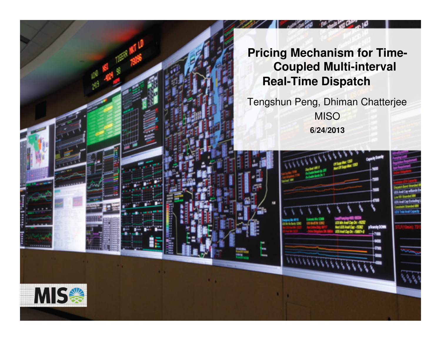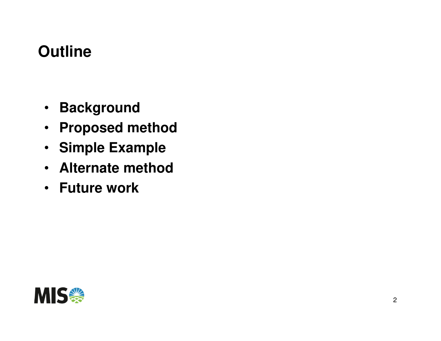# **Outline**

- **Background**
- **Proposed method**
- **Simple Example**
- **Alternate method**•
- **Future work**

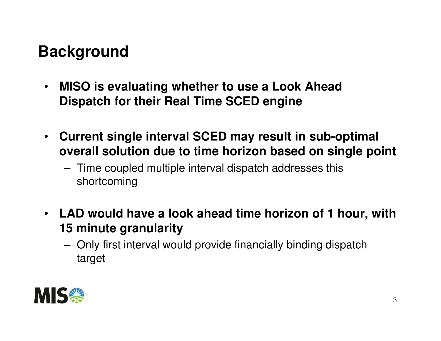# **Background**

- $\bullet$  **MISO is evaluating whether to use a Look Ahead Dispatch for their Real Time SCED engine**
- $\bullet$  **Current single interval SCED may result in sub-optimal overall solution due to time horizon based on single point**
	- – Time coupled multiple interval dispatch addresses this shortcoming
- **LAD would have a look ahead time horizon of 1 hour, with 15 minute granularity**
	- Only first interval would provide financially binding dispatch target

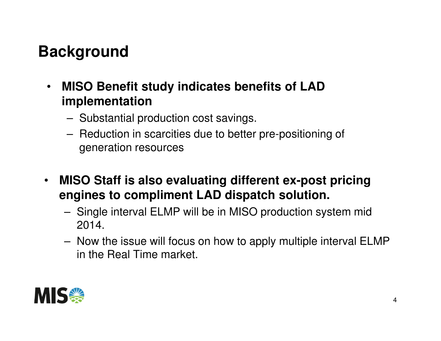# **Background**

- $\bullet$  **MISO Benefit study indicates benefits of LAD implementation**
	- Substantial production cost savings.
	- – Reduction in scarcities due to better pre-positioning of generation resources
- $\bullet$  **MISO Staff is also evaluating different ex-post pricing engines to compliment LAD dispatch solution.** 
	- – Single interval ELMP will be in MISO production system mid 2014.
	- Now the issue will focus on how to apply multiple interval ELMP in the Real Time market.

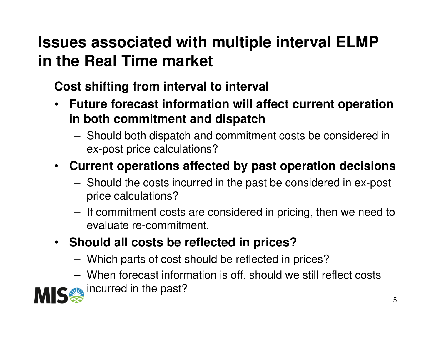## **Issues associated with multiple interval ELMP in the Real Time market**

**Cost shifting from interval to interval**

- **Future forecast information will affect current operation in both commitment and dispatch**
	- Should both dispatch and commitment costs be considered in ex-post price calculations?

#### • **Current operations affected by past operation decisions**

- – Should the costs incurred in the past be considered in ex-post price calculations?
- If commitment costs are considered in pricing, then we need to evaluate re-commitment.

#### • **Should all costs be reflected in prices?**

- –Which parts of cost should be reflected in prices?
- – When forecast information is off, should we still reflect costs incurred in the past?

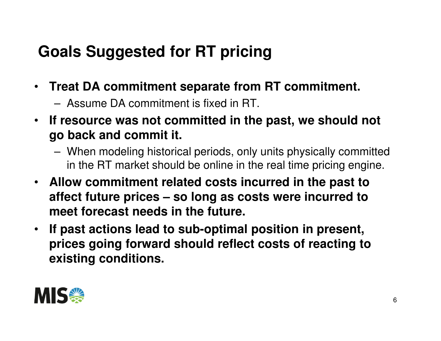# **Goals Suggested for RT pricing**

- $\bullet$  . **Treat DA commitment separate from RT commitment.**
	- –Assume DA commitment is fixed in RT.
- **If resource was not committed in the past, we should not go back and commit it.**
	- – When modeling historical periods, only units physically committed in the RT market should be online in the real time pricing engine.
- **Allow commitment related costs incurred in the past to affect future prices – so long as costs were incurred to meet forecast needs in the future.**
- • **If past actions lead to sub-optimal position in present, prices going forward should reflect costs of reacting to existing conditions.**

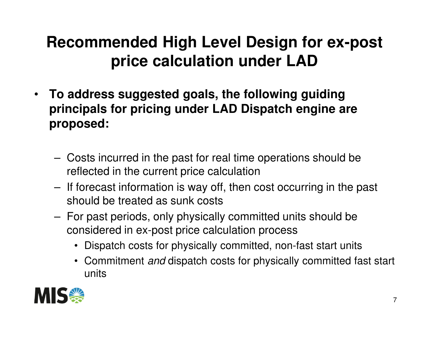### **Recommended High Level Design for ex-post price calculation under LAD**

- $\bullet$  **To address suggested goals, the following guiding principals for pricing under LAD Dispatch engine are proposed:**
	- – Costs incurred in the past for real time operations should be reflected in the current price calculation
	- If forecast information is way off, then cost occurring in the past should be treated as sunk costs
	- – For past periods, only physically committed units should be considered in ex-post price calculation process
		- Dispatch costs for physically committed, non-fast start units
		- Commitment *and* dispatch costs for physically committed fast start units

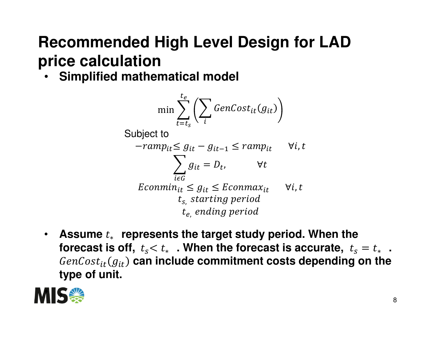## **Recommended High Level Design for LAD price calculation**

• **Simplified mathematical model**

$$
\min \sum_{t=t_s}^{t_e} \left( \sum_i \text{GenCost}_{it}(g_{it}) \right)
$$

$$
-ramp_{it} \leq g_{it} - g_{it-1} \leq ramp_{it} \quad \forall i, t
$$
\n
$$
\sum_{i \in G} g_{it} = D_t, \qquad \forall t
$$
\n
$$
Ecommin_{it} \leq g_{it} \leq Ecommax_{it} \quad \forall i, t
$$
\n
$$
t_s, starting period
$$
\n
$$
t_e, ending period
$$

 $\bullet$  **Assume**  ∗ **represents the target study period. When the**  $\boldsymbol{f}$  **orecast is off,**  $\boldsymbol{t}_s < \boldsymbol{t}_*$  **. When the forecast is accurate,**  $\boldsymbol{t}_s$  $\mathit{GenCost}_{it}(g_{it})$  can include commitment costs depending on the  $s = t_*$  . **type of unit.**

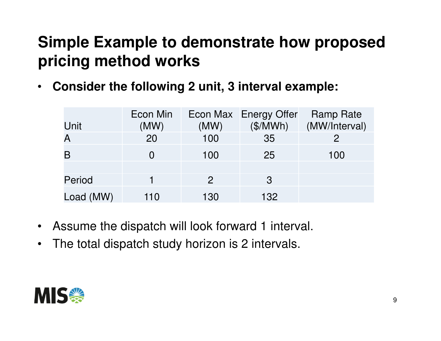$\bullet$ **Consider the following 2 unit, 3 interval example:** 

| Unit                    | Econ Min<br>(MW) | (MW)         | Econ Max Energy Offer<br>(\$/MWh) | Ramp Rate<br>(MW/Interval) |
|-------------------------|------------------|--------------|-----------------------------------|----------------------------|
| $\overline{\mathsf{A}}$ | 20               | 100          | 35                                | $\overline{2}$             |
| B                       |                  | 100          | 25                                | 100                        |
|                         |                  |              |                                   |                            |
| Period                  |                  | $\mathbf{2}$ | 3                                 |                            |
| Load (MW)               | 110              | 130          | 132                               |                            |

- $\bullet$ Assume the dispatch will look forward 1 interval.
- $\bullet$ The total dispatch study horizon is 2 intervals.

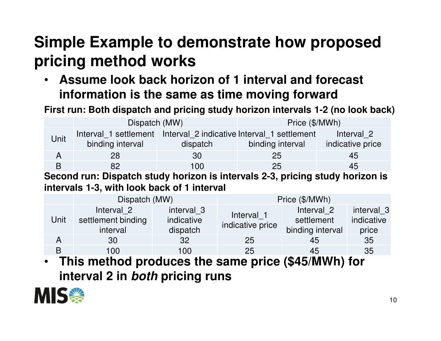• **Assume look back horizon of 1 interval and forecast information is the same as time moving forward**

**First run: Both dispatch and pricing study horizon intervals 1-2 (no look back)**

|      | Dispatch (MW)                                                                         |          | Price (\$/MWh)   |                                |  |
|------|---------------------------------------------------------------------------------------|----------|------------------|--------------------------------|--|
| Unit | Interval 1 settlement Interval 2 indicative Interval 1 settlement<br>binding interval | dispatch | binding interval | Interval 2<br>indicative price |  |
| A    | 28                                                                                    | 30       | 25               | 45                             |  |
|      | 82                                                                                    | 100      | 25               | 45                             |  |

**Second run: Dispatch study horizon is intervals 2-3, pricing study horizon is intervals 1-3, with look back of 1 interval**

|      | Dispatch (MW)                                |                                      | Price (\$/MWh)                 |                                                                   |                                   |  |
|------|----------------------------------------------|--------------------------------------|--------------------------------|-------------------------------------------------------------------|-----------------------------------|--|
| Unit | Interval 2<br>settlement binding<br>interval | interval 3<br>indicative<br>dispatch | Interval 1<br>indicative price | Interval 2<br>settlement<br>binding interval                      | interval 3<br>indicative<br>price |  |
| A    | 30                                           | 32                                   | 25                             | 45                                                                | 35                                |  |
| B    | 100                                          | 100                                  | 25                             | 45                                                                | 35                                |  |
| TL:. | بمالات ممر                                   |                                      |                                | $\sqrt{M}$ $\sqrt{M}$ $\sqrt{M}$ $\sqrt{M}$ $\sqrt{M}$ $\sqrt{M}$ |                                   |  |

• **This method produces the same price (\$45/MWh) for interval 2 in both pricing runs**

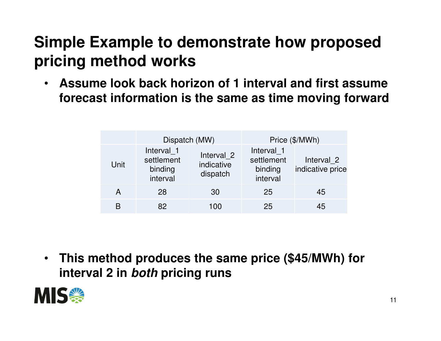• **Assume look back horizon of 1 interval and first assume forecast information is the same as time moving forward**

|      | Dispatch (MW)                                   |                                      | Price (\$/MWh)                                  |                                |
|------|-------------------------------------------------|--------------------------------------|-------------------------------------------------|--------------------------------|
| Unit | Interval 1<br>settlement<br>binding<br>interval | Interval_2<br>indicative<br>dispatch | Interval 1<br>settlement<br>binding<br>interval | Interval 2<br>indicative price |
| A    | 28                                              | 30                                   | 25                                              | 45                             |
| R    | 82                                              | 100                                  | 25                                              | 45                             |

• **This method produces the same price (\$45/MWh) for interval 2 in both pricing runs**

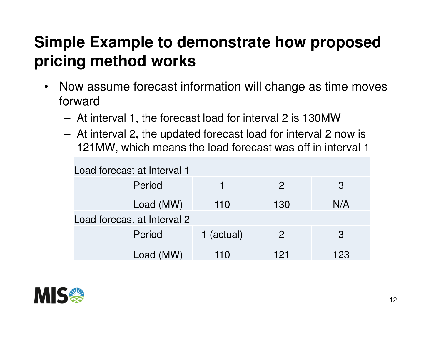- $\bullet$  Now assume forecast information will change as time moves forward
	- At interval 1, the forecast load for interval 2 is 130MW
	- AT INTANIAL Z TNA HNOSTAN TORACSKI IOSO TOR INTANIAL Z At interval 2, the updated forecast load for interval 2 now is 121MW, which means the load forecast was off in interval 1

| Load forecast at Interval 1 |           |          |                |     |  |
|-----------------------------|-----------|----------|----------------|-----|--|
|                             | Period    |          | $\mathcal{P}$  | 3   |  |
|                             | Load (MW) | 110      | 130            | N/A |  |
| Load forecast at Interval 2 |           |          |                |     |  |
|                             | Period    | (actual) | $\overline{2}$ | 3   |  |
|                             | Load (MW) | 110      | 121            | 123 |  |

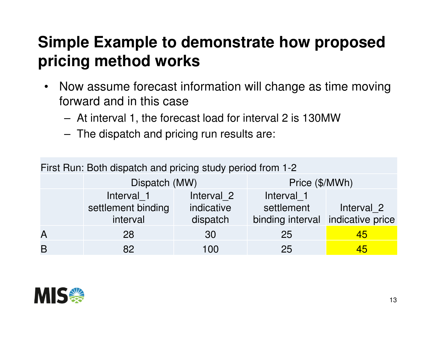- $\bullet$  Now assume forecast information will change as time moving forward and in this case
	- At interval 1, the forecast load for interval 2 is 130MW
	- –The dispatch and pricing run results are:

| First Run: Both dispatch and pricing study period from 1-2 |                                |                        |                                |                                |  |  |
|------------------------------------------------------------|--------------------------------|------------------------|--------------------------------|--------------------------------|--|--|
|                                                            | Dispatch (MW)                  |                        | Price (\$/MWh)                 |                                |  |  |
|                                                            | Interval 1                     | Interval 2             | Interval 1                     |                                |  |  |
|                                                            | settlement binding<br>interval | indicative<br>dispatch | settlement<br>binding interval | Interval 2<br>indicative price |  |  |
|                                                            |                                |                        |                                |                                |  |  |
| $\overline{\mathsf{A}}$                                    | 28                             | 30                     | 25                             | 45                             |  |  |
| B                                                          | 82                             | 100                    | 25                             | 45                             |  |  |

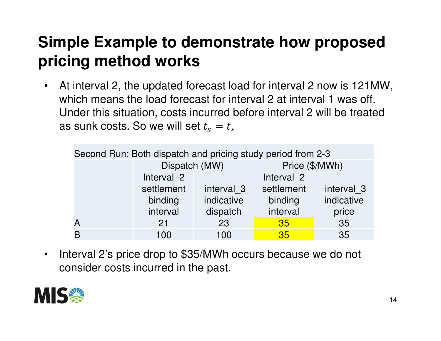$\bullet$  At interval 2, the updated forecast load for interval 2 now is 121MW, which means the load forecast for interval 2 at interval 1 was off. Under this situation, costs incurred before interval 2 will be treated as sunk costs. So we will set  $t_{\rm s}$  $s=t_*$ 

| Second Run: Both dispatch and pricing study period from 2-3 |               |            |                |                       |  |  |
|-------------------------------------------------------------|---------------|------------|----------------|-----------------------|--|--|
|                                                             | Dispatch (MW) |            | Price (\$/MWh) |                       |  |  |
|                                                             | Interval 2    |            | Interval 2     |                       |  |  |
|                                                             | settlement    | interval 3 | settlement     | interval <sub>3</sub> |  |  |
|                                                             | binding       | indicative | binding        | indicative            |  |  |
|                                                             | interval      | dispatch   | interval       | price                 |  |  |
|                                                             | 21            | 23         | 35             | 35                    |  |  |
|                                                             | 100           | 100        | 35             | 35                    |  |  |

 $\bullet$  Interval 2's price drop to \$35/MWh occurs because we do not consider costs incurred in the past.

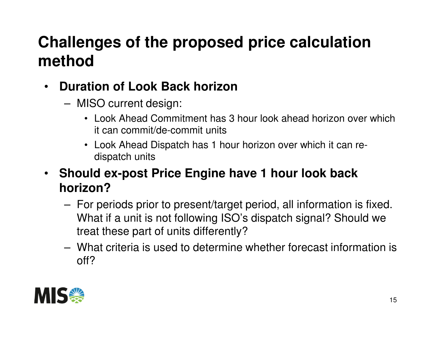# **Challenges of the proposed price calculation method**

- $\bullet$  **Duration of Look Back horizon**
	- – MISO current design:
		- Look Ahead Commitment has 3 hour look ahead horizon over which it can commit/de-commit units
		- Look Ahead Dispatch has 1 hour horizon over which it can redispatch units
- $\bullet$  **Should ex-post Price Engine have 1 hour look back horizon?**
	- – For periods prior to present/target period, all information is fixed. What if a unit is not following ISO's dispatch signal? Should we treat these part of units differently?
	- – What criteria is used to determine whether forecast information is off?

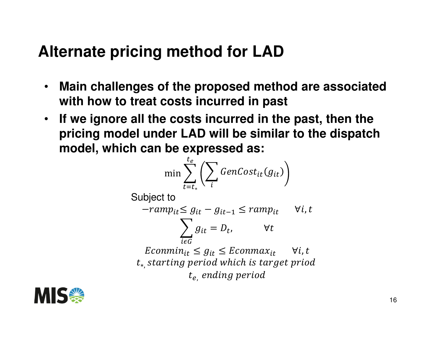#### **Alternate pricing method for LAD**

- $\bullet$  **Main challenges of the proposed method are associated with how to treat costs incurred in past**
- • **If we ignore all the costs incurred in the past, then the pricing model under LAD will be similar to the dispatch model, which can be expressed as:**

$$
\min \sum_{t=t_*}^{t_e} \left( \sum_i GenCost_{it}(g_{it}) \right)
$$

Subject to

$$
-ramp_{it} \leq g_{it} - g_{it-1} \leq ramp_{it} \quad \forall i, t
$$

$$
\sum_{i \in G} g_{it} = D_t, \qquad \forall t
$$

 $E$ conmin<sub>it</sub>  $\leq g_{it} \leq E$ conmax<sub>it</sub>  $\forall i, t$  $t_*$  starting period which is target priod  $t_e$  ending period

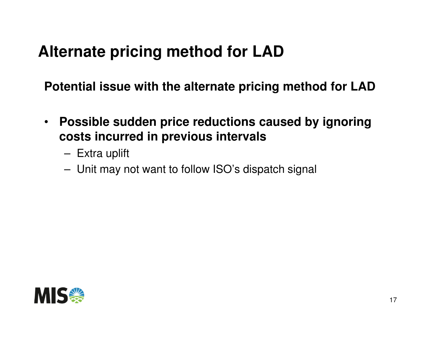#### **Alternate pricing method for LAD**

**Potential issue with the alternate pricing method for LAD**

- $\bullet$  **Possible sudden price reductions caused by ignoringcosts incurred in previous intervals**
	- –Extra uplift
	- –Unit may not want to follow ISO's dispatch signal